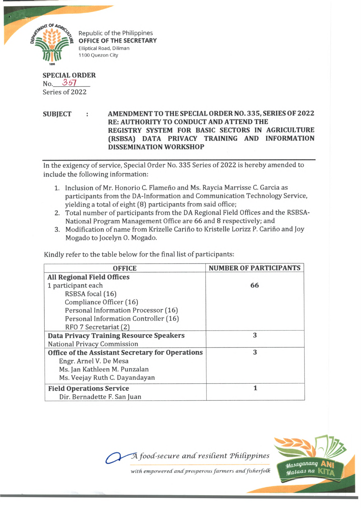

Republic of the Philippines **OFFICE OF THE SECRETARY** Elliptical Road, Diliman 1100 Quezon City

**SPECIAL ORDER** No. 357 Series of 2022

**SUBJECT : AMENDMENT TO THE SPECIAL ORDER NO. 335, SERIES OF 2022 RE: AUTHORITY TO CONDUCT AND ATTEND THE REGISTRY SYSTEM FOR BASIC SECTORS IN AGRICULTURE (RSBSA) DATA PRIVACY TRAINING AND INFORMATION DISSEMINATION WORKSHOP**

In the exigency of service, Special Order No. 335 Series of 2022 is hereby amended to include the following information:

- 1. Inclusion of Mr. Honorio C. Flameño and Ms. Raycia Marrisse C. Garcia as participants from the DA-Information and Communication Technology Service, yielding a total of eight (8) participants from said office;
- 2. Total number of participants from the DA Regional Field Offices and the RSBSA-National Program Management Office are 66 and 8 respectively; and
- 3. Modification of name from Krizelle Carino to Kristelle Lorizz P. Carino and Joy Mogado to Jocelyn 0. Mogado.

Kindly refer to the table below for the final list of participants:

| <b>OFFICE</b>                                    | <b>NUMBER OF PARTICIPANTS</b> |
|--------------------------------------------------|-------------------------------|
| <b>All Regional Field Offices</b>                |                               |
| 1 participant each                               | 66                            |
| RSBSA focal (16)                                 |                               |
| Compliance Officer (16)                          |                               |
| Personal Information Processor (16)              |                               |
| Personal Information Controller (16)             |                               |
| RFO 7 Secretariat (2)                            |                               |
| <b>Data Privacy Training Resource Speakers</b>   | 3                             |
| <b>National Privacy Commission</b>               |                               |
| Office of the Assistant Secretary for Operations | 3                             |
| Engr. Arnel V. De Mesa                           |                               |
| Ms. Jan Kathleen M. Punzalan                     |                               |
| Ms. Veejay Ruth C. Dayandayan                    |                               |
| <b>Field Operations Service</b>                  | 1                             |
| Dir. Bernadette F. San Juan                      |                               |



with empowered and prosperous farmers and fisherfolk